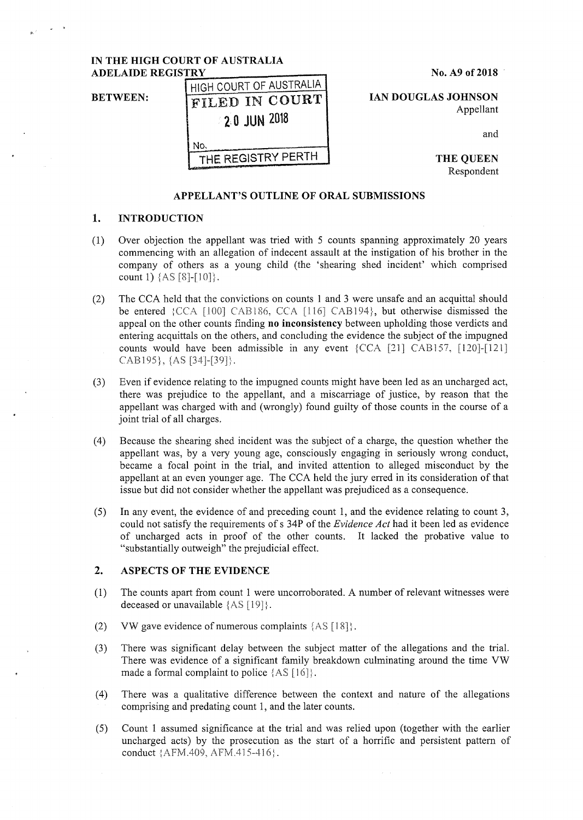# **IN THE HIGH COURT OF AUSTRALIA ADELAIDE REGISTRY**

**BETWEEN:** 

|                    |             |  | HIGH COURT OF AUSTRALIA |
|--------------------|-------------|--|-------------------------|
|                    |             |  | FILED IN COURT          |
|                    | 20 JUN 2018 |  |                         |
|                    |             |  |                         |
| THE REGISTRY PERTH |             |  |                         |

**No. A9 of 2018** 

**IAN DOUGLAS JOHNSON**  Appellant

and

**THE QUEEN**  Respondent

#### **APPELLANT'S OUTLINE OF ORAL SUBMISSIONS**

### **1. INTRODUCTION**

- (1) Over objection the appellant was tried with 5 counts spanning approximately 20 years commencing with an allegation of indecent assault at the instigation of his brother in the company of others as a young child (the 'shearing shed incident' which comprised count 1)  $\{AS [8]-[10]\}.$
- (2) The CCA held that the convictions on counts 1 and 3 were unsafe and an acquittal should be entered : CCA [100] CAB186, CCA [116] CAB194}, but otherwise dismissed the appeal on the other counts finding **no inconsistency** between upholding those verdicts and entering acquittals on the others, and concluding the evidence the subject of the impugned counts would have been admissible in any event  ${CCA}$  [21] CAB157, [120]-[121] CAB195}, {AS [34]-[39]}.
- (3) Even if evidence relating to the impugned counts might have been led as an uncharged act, there was prejudice to the appellant, and a miscarriage of justice, by reason that the appellant was charged with and (wrongly) found guilty of those counts in the course of a joint trial of all charges.
- (4) Because the shearing shed incident was the subject of a charge, the question whether the appellant was, by a very young age, consciously engaging in seriously wrong conduct, became a focal point in the trial, and invited attention to alleged misconduct by the appellant at an even younger age. The CCA held the jury erred in its consideration of that issue but did not consider whether the appellant was prejudiced as a consequence.
- (5) In any event, the evidence of and preceding count 1, and the evidence relating to count 3, could not satisfy the requirements of s 34P of the *Evidence Act* had **it** been led as evidence of uncharged acts in proof of the other counts. It lacked the probative value to "substantially outweigh" the prejudicial effect.

# **2. ASPECTS OF THE EVIDENCE**

- ( 1) The counts apart from count 1 were uncorroborated. A number of relevant witnesses were deceased or unavailable  ${AS [19]}$ .
- (2) VW gave evidence of numerous complaints  ${AS [18]}$ .
- (3) There was significant delay between the subject matter of the allegations and the trial. There was evidence of a significant family breakdown culminating around the time VW made a formal complaint to police {AS [16]}.
- (4) There was a qualitative difference between the context and nature of the allegations comprising and predating count 1, and the later counts.
- (5) Count 1 assumed significance at the trial and was relied upon (together with the earlier uncharged acts) by the prosecution as the start of a horrific and persistent pattern of conduct {AFM.409, AFM.415-416}.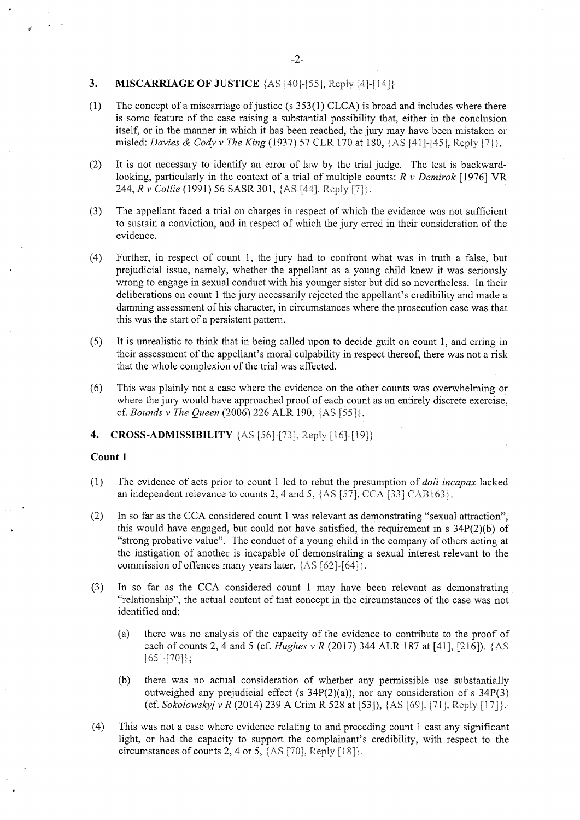### **3. MISCARRIAGE OF JUSTICE**  $[AS [40] - [55]$ , Reply  $[4] - [14]$

- (1) The concept of a miscarriage of justice (s 353(1) CLCA) is broad and includes where there is some feature of the case raising a substantial possibility that, either in the conclusion itself, or in the manner in which it has been reached, the jury may have been mistaken or misled: *Davies & Cody v The King* (1937) 57 CLR 170 at 180, {AS [41]-[45], Reply [7]}.
- (2) It is not necessary to identify an error of law by the trial judge. The test is backwardlooking, particularly in the context of a trial of multiple counts: *R v Demirok* [1976] VR 244, *R v Collie* (1991) 56 SASR 301, {AS [44], Reply [7]}.
- (3) The appellant faced a trial on charges in respect of which the evidence was not sufficient to sustain a conviction, and in respect of which the jury erred in their consideration of the evidence.
- (4) Further, in respect of count 1, the jury had to confront what was in truth a false, but prejudicial issue, namely, whether the appellant as a young child knew it was seriously wrong to engage in sexual conduct with his younger sister but did so nevertheless. In their deliberations on count 1 the jury necessarily rejected the appellant's credibility and made a damning assessment of his character, in circumstances where the prosecution case was that this was the start of a persistent pattern.
- (5) It is unrealistic to think that in being called upon to decide guilt on count 1, and erring in their assessment of the appellant's moral culpability in respect thereof, there was not a risk that the whole complexion of the trial was affected.
- (6) This was plainly not a case where the evidence on the other counts was overwhelming or where the jury would have approached proof of each count as an entirely discrete exercise, cf. *Bounds v The Queen* (2006) 226 ALR 190, {AS [55]}.
- **4. CROSS-ADMISSIBILITY** {AS [56]-[73], Reply [16]-[19]}

#### **Count 1**

- (1) The evidence of acts prior to count 1 led to rebut the presumption of *doli incapax* lacked an independent relevance to counts 2, 4 and 5,  $\{AS [57], CCA [33] CAB163\}.$
- (2) In so far as the CCA considered count 1 was relevant as demonstrating "sexual attraction", this would have engaged, but could not have satisfied, the requirement in s  $34P(2)(b)$  of "strong probative value". The conduct of a young child in the company of others acting at the instigation of another is incapable of demonstrating a sexual interest relevant to the commission of offences many years later, {AS [62]-[64]}.
- (3) In so far as the CCA considered count 1 may have been relevant as demonstrating "relationship", the actual content of that concept in the circumstances of the case was not identified and:
	- (a) there was no analysis of the capacity of the evidence to contribute to the proof of each of counts 2, 4 and 5 (cf. *Hughes v R* (2017) 344 ALR 187 at [41], [216]), {AS  $[65]-[70]$ ;
	- (b) there was no actual consideration of whether any permissible use substantially outweighed any prejudicial effect (s  $34P(2)(a)$ ), nor any consideration of s  $34P(3)$ (cf. *Sokolowskyj v R* (2014) 239 A Crim R 528 at [53]), {AS [69]. [71 ]. Reply [ 17]}.
- (4) This was not a case where evidence relating to and preceding count 1 cast any significant light, or had the capacity to support the complainant's credibility, with respect to the circumstances of counts 2, 4 or 5, {AS [70], Reply [i 8]}.